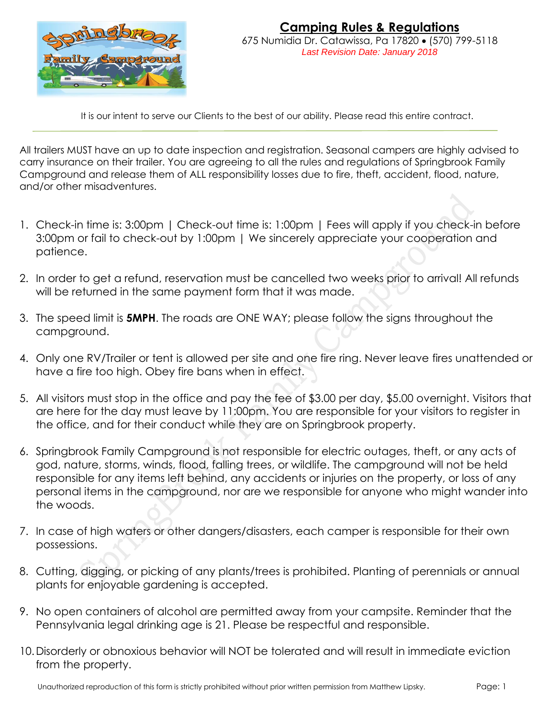

It is our intent to serve our Clients to the best of our ability. Please read this entire contract.

All trailers MUST have an up to date inspection and registration. Seasonal campers are highly advised to carry insurance on their trailer. You are agreeing to all the rules and regulations of Springbrook Family Campground and release them of ALL responsibility losses due to fire, theft, accident, flood, nature, and/or other misadventures.

- 1. Check-in time is: 3:00pm | Check-out time is: 1:00pm | Fees will apply if you check-in before 3:00pm or fail to check-out by 1:00pm | We sincerely appreciate your cooperation and patience.
- 2. In order to get a refund, reservation must be cancelled two weeks prior to arrival! All refunds will be returned in the same payment form that it was made.
- 3. The speed limit is **5MPH**. The roads are ONE WAY; please follow the signs throughout the campground.
- 4. Only one RV/Trailer or tent is allowed per site and one fire ring. Never leave fires unattended or have a fire too high. Obey fire bans when in effect.
- 5. All visitors must stop in the office and pay the fee of \$3.00 per day, \$5.00 overnight. Visitors that are here for the day must leave by 11:00pm. You are responsible for your visitors to register in the office, and for their conduct while they are on Springbrook property.
- 6. Springbrook Family Campground is not responsible for electric outages, theft, or any acts of god, nature, storms, winds, flood, falling trees, or wildlife. The campground will not be held responsible for any items left behind, any accidents or injuries on the property, or loss of any personal items in the campground, nor are we responsible for anyone who might wander into the woods.
- 7. In case of high waters or other dangers/disasters, each camper is responsible for their own possessions.
- 8. Cutting, digging, or picking of any plants/trees is prohibited. Planting of perennials or annual plants for enjoyable gardening is accepted.
- 9. No open containers of alcohol are permitted away from your campsite. Reminder that the Pennsylvania legal drinking age is 21. Please be respectful and responsible.
- 10.Disorderly or obnoxious behavior will NOT be tolerated and will result in immediate eviction from the property.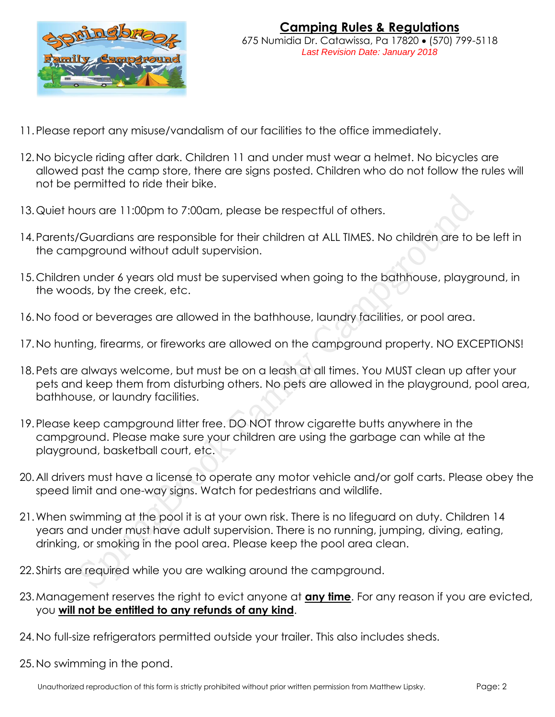

- 11.Please report any misuse/vandalism of our facilities to the office immediately.
- 12.No bicycle riding after dark. Children 11 and under must wear a helmet. No bicycles are allowed past the camp store, there are signs posted. Children who do not follow the rules will not be permitted to ride their bike.
- 13.Quiet hours are 11:00pm to 7:00am, please be respectful of others.
- 14.Parents/Guardians are responsible for their children at ALL TIMES. No children are to be left in the campground without adult supervision.
- 15.Children under 6 years old must be supervised when going to the bathhouse, playground, in the woods, by the creek, etc.
- 16.No food or beverages are allowed in the bathhouse, laundry facilities, or pool area.
- 17.No hunting, firearms, or fireworks are allowed on the campground property. NO EXCEPTIONS!
- 18.Pets are always welcome, but must be on a leash at all times. You MUST clean up after your pets and keep them from disturbing others. No pets are allowed in the playground, pool area, bathhouse, or laundry facilities.
- 19.Please keep campground litter free. DO NOT throw cigarette butts anywhere in the campground. Please make sure your children are using the garbage can while at the playground, basketball court, etc.
- 20.All drivers must have a license to operate any motor vehicle and/or golf carts. Please obey the speed limit and one-way signs. Watch for pedestrians and wildlife.
- 21.When swimming at the pool it is at your own risk. There is no lifeguard on duty. Children 14 years and under must have adult supervision. There is no running, jumping, diving, eating, drinking, or smoking in the pool area. Please keep the pool area clean.
- 22.Shirts are required while you are walking around the campground.
- 23.Management reserves the right to evict anyone at **any time**. For any reason if you are evicted, you **will not be entitled to any refunds of any kind**.
- 24.No full-size refrigerators permitted outside your trailer. This also includes sheds.
- 25.No swimming in the pond.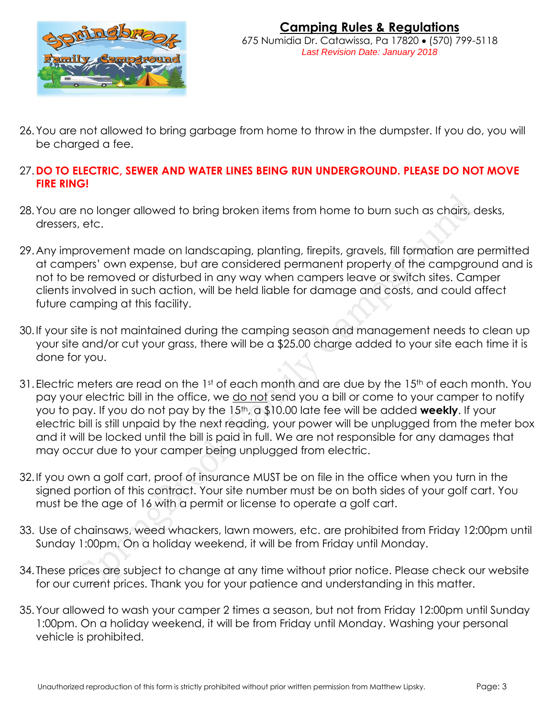

- 26.You are not allowed to bring garbage from home to throw in the dumpster. If you do, you will be charged a fee.
- 27.**DO TO ELECTRIC, SEWER AND WATER LINES BEING RUN UNDERGROUND. PLEASE DO NOT MOVE FIRE RING!**
- 28.You are no longer allowed to bring broken items from home to burn such as chairs, desks, dressers, etc.
- 29.Any improvement made on landscaping, planting, firepits, gravels, fill formation are permitted at campers' own expense, but are considered permanent property of the campground and is not to be removed or disturbed in any way when campers leave or switch sites. Camper clients involved in such action, will be held liable for damage and costs, and could affect future camping at this facility.
- 30.If your site is not maintained during the camping season and management needs to clean up your site and/or cut your grass, there will be a \$25.00 charge added to your site each time it is done for you.
- 31. Electric meters are read on the 1st of each month and are due by the 15<sup>th</sup> of each month. You pay your electric bill in the office, we do not send you a bill or come to your camper to notify you to pay. If you do not pay by the 15th, a \$10.00 late fee will be added **weekly**. If your electric bill is still unpaid by the next reading, your power will be unplugged from the meter box and it will be locked until the bill is paid in full. We are not responsible for any damages that may occur due to your camper being unplugged from electric.
- 32.If you own a golf cart, proof of insurance MUST be on file in the office when you turn in the signed portion of this contract. Your site number must be on both sides of your golf cart. You must be the age of 16 with a permit or license to operate a golf cart.
- 33. Use of chainsaws, weed whackers, lawn mowers, etc. are prohibited from Friday 12:00pm until Sunday 1:00pm. On a holiday weekend, it will be from Friday until Monday.
- 34. These prices are subject to change at any time without prior notice. Please check our website for our current prices. Thank you for your patience and understanding in this matter.
- 35.Your allowed to wash your camper 2 times a season, but not from Friday 12:00pm until Sunday 1:00pm. On a holiday weekend, it will be from Friday until Monday. Washing your personal vehicle is prohibited.